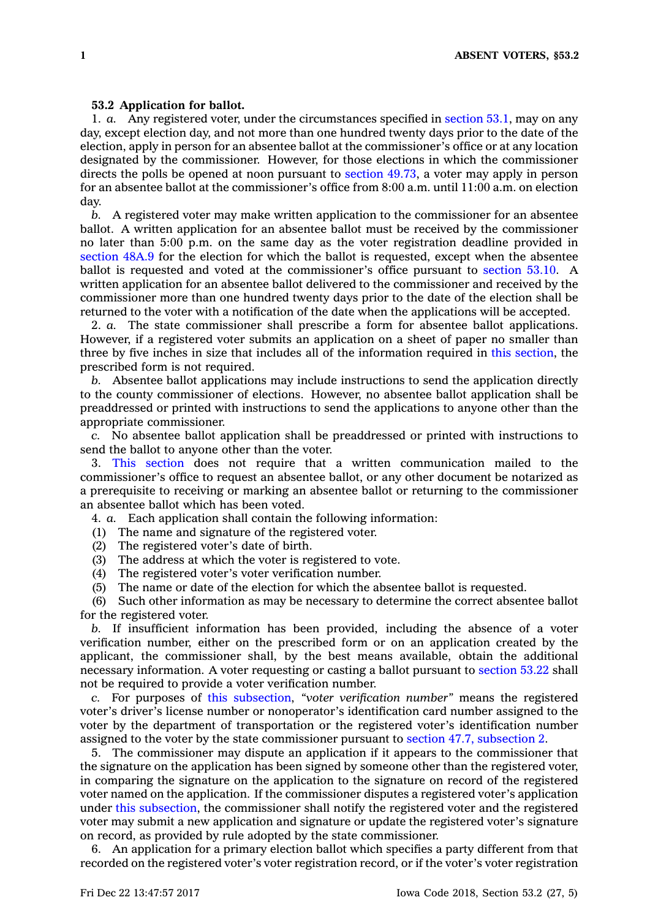## **53.2 Application for ballot.**

1. *a.* Any registered voter, under the circumstances specified in [section](https://www.legis.iowa.gov/docs/code/53.1.pdf) 53.1, may on any day, except election day, and not more than one hundred twenty days prior to the date of the election, apply in person for an absentee ballot at the commissioner's office or at any location designated by the commissioner. However, for those elections in which the commissioner directs the polls be opened at noon pursuant to [section](https://www.legis.iowa.gov/docs/code/49.73.pdf) 49.73, <sup>a</sup> voter may apply in person for an absentee ballot at the commissioner's office from 8:00 a.m. until 11:00 a.m. on election day.

*b.* A registered voter may make written application to the commissioner for an absentee ballot. A written application for an absentee ballot must be received by the commissioner no later than 5:00 p.m. on the same day as the voter registration deadline provided in [section](https://www.legis.iowa.gov/docs/code/48A.9.pdf) 48A.9 for the election for which the ballot is requested, except when the absentee ballot is requested and voted at the commissioner's office pursuant to [section](https://www.legis.iowa.gov/docs/code/53.10.pdf) 53.10. A written application for an absentee ballot delivered to the commissioner and received by the commissioner more than one hundred twenty days prior to the date of the election shall be returned to the voter with <sup>a</sup> notification of the date when the applications will be accepted.

2. *a.* The state commissioner shall prescribe <sup>a</sup> form for absentee ballot applications. However, if <sup>a</sup> registered voter submits an application on <sup>a</sup> sheet of paper no smaller than three by five inches in size that includes all of the information required in this [section](https://www.legis.iowa.gov/docs/code/53.2.pdf), the prescribed form is not required.

*b.* Absentee ballot applications may include instructions to send the application directly to the county commissioner of elections. However, no absentee ballot application shall be preaddressed or printed with instructions to send the applications to anyone other than the appropriate commissioner.

*c.* No absentee ballot application shall be preaddressed or printed with instructions to send the ballot to anyone other than the voter.

3. This [section](https://www.legis.iowa.gov/docs/code/53.2.pdf) does not require that <sup>a</sup> written communication mailed to the commissioner's office to request an absentee ballot, or any other document be notarized as <sup>a</sup> prerequisite to receiving or marking an absentee ballot or returning to the commissioner an absentee ballot which has been voted.

4. *a.* Each application shall contain the following information:

(1) The name and signature of the registered voter.

(2) The registered voter's date of birth.

(3) The address at which the voter is registered to vote.

(4) The registered voter's voter verification number.

 $(5)$  The name or date of the election for which the absentee ballot is requested.

(6) Such other information as may be necessary to determine the correct absentee ballot for the registered voter.

*b.* If insufficient information has been provided, including the absence of <sup>a</sup> voter verification number, either on the prescribed form or on an application created by the applicant, the commissioner shall, by the best means available, obtain the additional necessary information. A voter requesting or casting <sup>a</sup> ballot pursuant to [section](https://www.legis.iowa.gov/docs/code/53.22.pdf) 53.22 shall not be required to provide <sup>a</sup> voter verification number.

*c.* For purposes of this [subsection](https://www.legis.iowa.gov/docs/code/53.2.pdf), *"voter verification number"* means the registered voter's driver's license number or nonoperator's identification card number assigned to the voter by the department of transportation or the registered voter's identification number assigned to the voter by the state commissioner pursuant to section 47.7, [subsection](https://www.legis.iowa.gov/docs/code/47.7.pdf) 2.

5. The commissioner may dispute an application if it appears to the commissioner that the signature on the application has been signed by someone other than the registered voter, in comparing the signature on the application to the signature on record of the registered voter named on the application. If the commissioner disputes <sup>a</sup> registered voter's application under this [subsection](https://www.legis.iowa.gov/docs/code/53.2.pdf), the commissioner shall notify the registered voter and the registered voter may submit <sup>a</sup> new application and signature or update the registered voter's signature on record, as provided by rule adopted by the state commissioner.

6. An application for <sup>a</sup> primary election ballot which specifies <sup>a</sup> party different from that recorded on the registered voter's voter registration record, or if the voter's voter registration